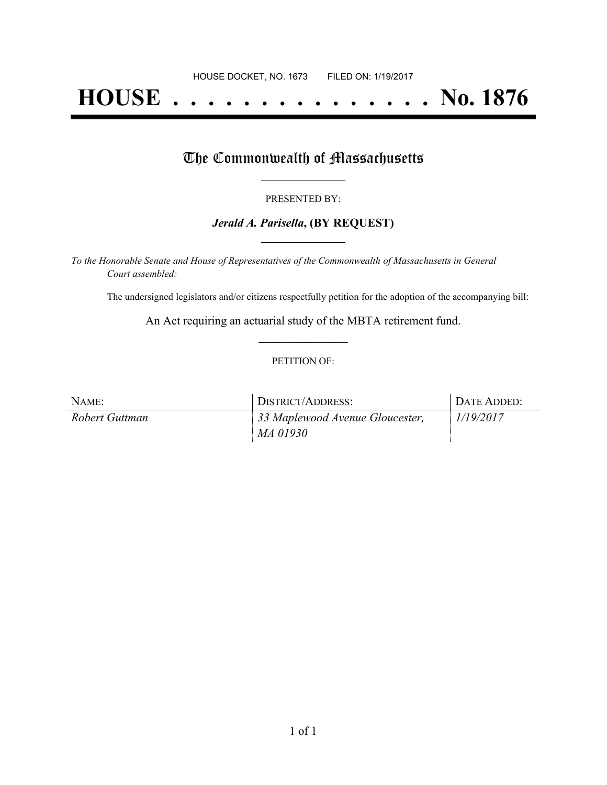# **HOUSE . . . . . . . . . . . . . . . No. 1876**

## The Commonwealth of Massachusetts

#### PRESENTED BY:

#### *Jerald A. Parisella***, (BY REQUEST) \_\_\_\_\_\_\_\_\_\_\_\_\_\_\_\_\_**

*To the Honorable Senate and House of Representatives of the Commonwealth of Massachusetts in General Court assembled:*

The undersigned legislators and/or citizens respectfully petition for the adoption of the accompanying bill:

An Act requiring an actuarial study of the MBTA retirement fund. **\_\_\_\_\_\_\_\_\_\_\_\_\_\_\_**

#### PETITION OF:

| NAME:          | DISTRICT/ADDRESS:               | DATE ADDED: |
|----------------|---------------------------------|-------------|
| Robert Guttman | 33 Maplewood Avenue Gloucester, | 1/19/2017   |
|                | MA 01930                        |             |